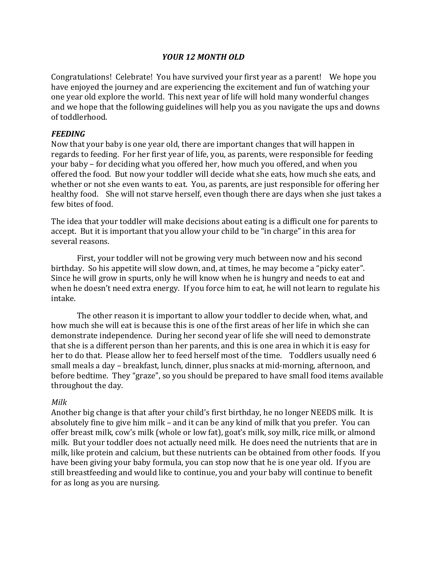#### *YOUR 12 MONTH OLD*

Congratulations! Celebrate! You have survived your first year as a parent! We hope you have enjoyed the journey and are experiencing the excitement and fun of watching your one year old explore the world. This next year of life will hold many wonderful changes and we hope that the following guidelines will help you as you navigate the ups and downs of toddlerhood.

#### *FEEDING*

Now that your baby is one year old, there are important changes that will happen in regards to feeding. For her first year of life, you, as parents, were responsible for feeding your baby – for deciding what you offered her, how much you offered, and when you offered the food. But now your toddler will decide what she eats, how much she eats, and whether or not she even wants to eat. You, as parents, are just responsible for offering her healthy food. She will not starve herself, even though there are days when she just takes a few bites of food.

The idea that your toddler will make decisions about eating is a difficult one for parents to accept. But it is important that you allow your child to be "in charge" in this area for several reasons.

First, your toddler will not be growing very much between now and his second birthday. So his appetite will slow down, and, at times, he may become a "picky eater". Since he will grow in spurts, only he will know when he is hungry and needs to eat and when he doesn't need extra energy. If you force him to eat, he will not learn to regulate his intake. 

The other reason it is important to allow your toddler to decide when, what, and how much she will eat is because this is one of the first areas of her life in which she can demonstrate independence. During her second year of life she will need to demonstrate that she is a different person than her parents, and this is one area in which it is easy for her to do that. Please allow her to feed herself most of the time. Toddlers usually need 6 small meals a day – breakfast, lunch, dinner, plus snacks at mid-morning, afternoon, and before bedtime. They "graze", so you should be prepared to have small food items available throughout the day.

#### *Milk*

Another big change is that after your child's first birthday, he no longer NEEDS milk. It is absolutely fine to give him milk – and it can be any kind of milk that you prefer. You can offer breast milk, cow's milk (whole or low fat), goat's milk, soy milk, rice milk, or almond milk. But your toddler does not actually need milk. He does need the nutrients that are in milk, like protein and calcium, but these nutrients can be obtained from other foods. If you have been giving your baby formula, you can stop now that he is one year old. If you are still breastfeeding and would like to continue, you and your baby will continue to benefit for as long as you are nursing.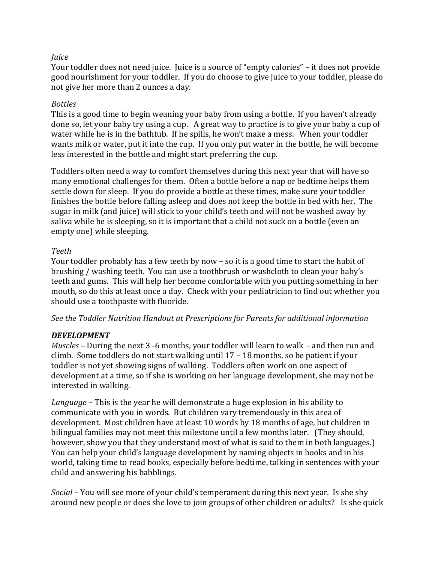## *Juice*

Your toddler does not need juice. Juice is a source of "empty calories" – it does not provide good nourishment for your toddler. If you do choose to give juice to your toddler, please do not give her more than 2 ounces a day.

## *Bottles*

This is a good time to begin weaning your baby from using a bottle. If you haven't already done so, let your baby try using a cup. A great way to practice is to give your baby a cup of water while he is in the bathtub. If he spills, he won't make a mess. When your toddler wants milk or water, put it into the cup. If you only put water in the bottle, he will become less interested in the bottle and might start preferring the cup.

Toddlers often need a way to comfort themselves during this next year that will have so many emotional challenges for them. Often a bottle before a nap or bedtime helps them settle down for sleep. If you do provide a bottle at these times, make sure your toddler finishes the bottle before falling asleep and does not keep the bottle in bed with her. The sugar in milk (and juice) will stick to your child's teeth and will not be washed away by saliva while he is sleeping, so it is important that a child not suck on a bottle (even an empty one) while sleeping.

#### *Teeth*

Your toddler probably has a few teeth by now – so it is a good time to start the habit of brushing / washing teeth. You can use a toothbrush or washcloth to clean your baby's teeth and gums. This will help her become comfortable with you putting something in her mouth, so do this at least once a day. Check with your pediatrician to find out whether you should use a toothpaste with fluoride.

See the Toddler Nutrition Handout at Prescriptions for Parents for additional information

## *DEVELOPMENT*

*Muscles* – During the next 3 -6 months, your toddler will learn to walk - and then run and climb. Some toddlers do not start walking until  $17 - 18$  months, so be patient if your toddler is not yet showing signs of walking. Toddlers often work on one aspect of development at a time, so if she is working on her language development, she may not be interested in walking.

*Language* – This is the year he will demonstrate a huge explosion in his ability to communicate with you in words. But children vary tremendously in this area of development. Most children have at least 10 words by 18 months of age, but children in bilingual families may not meet this milestone until a few months later. (They should, however, show you that they understand most of what is said to them in both languages.) You can help your child's language development by naming objects in books and in his world, taking time to read books, especially before bedtime, talking in sentences with your child and answering his babblings.

*Social* – You will see more of your child's temperament during this next year. Is she shy around new people or does she love to join groups of other children or adults? Is she quick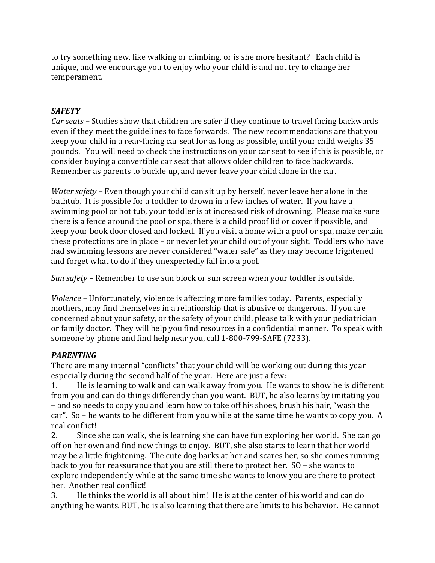to try something new, like walking or climbing, or is she more hesitant? Each child is unique, and we encourage you to enjoy who your child is and not try to change her temperament.

# *SAFETY*

*Car seats* – Studies show that children are safer if they continue to travel facing backwards even if they meet the guidelines to face forwards. The new recommendations are that you keep your child in a rear-facing car seat for as long as possible, until your child weighs 35 pounds. You will need to check the instructions on your car seat to see if this is possible, or consider buying a convertible car seat that allows older children to face backwards. Remember as parents to buckle up, and never leave your child alone in the car.

*Water safety* – Even though your child can sit up by herself, never leave her alone in the bathtub. It is possible for a toddler to drown in a few inches of water. If you have a swimming pool or hot tub, your toddler is at increased risk of drowning. Please make sure there is a fence around the pool or spa, there is a child proof lid or cover if possible, and keep your book door closed and locked. If you visit a home with a pool or spa, make certain these protections are in place – or never let your child out of your sight. Toddlers who have had swimming lessons are never considered "water safe" as they may become frightened and forget what to do if they unexpectedly fall into a pool.

*Sun safety* – Remember to use sun block or sun screen when your toddler is outside.

*Violence* – Unfortunately, violence is affecting more families today. Parents, especially mothers, may find themselves in a relationship that is abusive or dangerous. If you are concerned about your safety, or the safety of your child, please talk with your pediatrician or family doctor. They will help you find resources in a confidential manner. To speak with someone by phone and find help near you, call 1-800-799-SAFE (7233).

# *PARENTING*

There are many internal "conflicts" that your child will be working out during this year  $$ especially during the second half of the year. Here are just a few:

1. He is learning to walk and can walk away from you. He wants to show he is different from you and can do things differently than you want. BUT, he also learns by imitating you – and so needs to copy you and learn how to take off his shoes, brush his hair, "wash the car". So – he wants to be different from you while at the same time he wants to copy you. A real conflict!

2. Since she can walk, she is learning she can have fun exploring her world. She can go off on her own and find new things to enjoy. BUT, she also starts to learn that her world may be a little frightening. The cute dog barks at her and scares her, so she comes running back to you for reassurance that you are still there to protect her.  $SO$  – she wants to explore independently while at the same time she wants to know you are there to protect her. Another real conflict!

3. He thinks the world is all about him! He is at the center of his world and can do anything he wants. BUT, he is also learning that there are limits to his behavior. He cannot